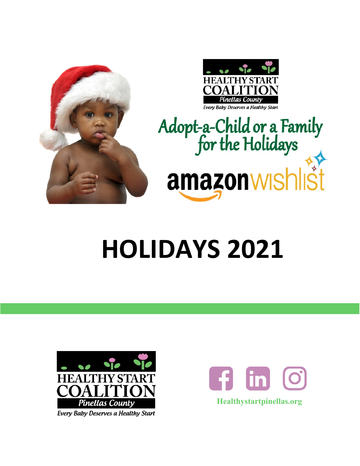



# Adopt-a-Child or a Family<br>for the Holidays

# **HOLIDAYS 2021**



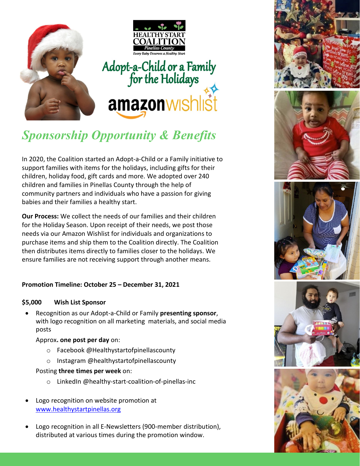

## *Sponsorship Opportunity & Benefits*

In 2020, the Coalition started an Adopt-a-Child or a Family initiative to support families with items for the holidays, including gifts for their children, holiday food, gift cards and more. We adopted over 240 children and families in Pinellas County through the help of community partners and individuals who have a passion for giving babies and their families a healthy start.

**Our Process:** We collect the needs of our families and their children for the Holiday Season. Upon receipt of their needs, we post those needs via our Amazon Wishlist for individuals and organizations to purchase items and ship them to the Coalition directly. The Coalition then distributes items directly to families closer to the holidays. We ensure families are not receiving support through another means.

#### **Promotion Timeline: October 25 – December 31, 2021**

#### **\$5,000 Wish List Sponsor**

• Recognition as our Adopt-a-Child or Family **presenting sponsor**, with logo recognition on all marketing materials, and social media posts

#### Approx**. one post per day** on:

- o Facebook @Healthystartofpinellascounty
- o Instagram @healthystartofpinellascounty

#### Posting **three times per week** on:

- o LinkedIn @healthy-start-coalition-of-pinellas-inc
- Logo recognition on website promotion at [www.healthystartpinellas.org](http://www.healthystartpinellas.org/)
- Logo recognition in all E-Newsletters (900-member distribution), distributed at various times during the promotion window.